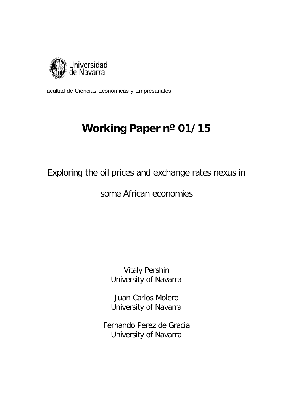

Facultad de Ciencias Económicas y Empresariales

# **Working Paper nº 01/15**

Exploring the oil prices and exchange rates nexus in

some African economies

Vitaly Pershin University of Navarra

Juan Carlos Molero University of Navarra

Fernando Perez de Gracia University of Navarra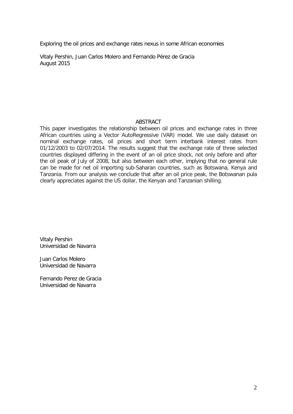Exploring the oil prices and exchange rates nexus in some African economies

Vitaly Pershin, Juan Carlos Molero and Fernando Pérez de Gracia August 2015

# ABSTRACT

This paper investigates the relationship between oil prices and exchange rates in three African countries using a Vector AutoRegressive (VAR) model. We use daily dataset on nominal exchange rates, oil prices and short term interbank interest rates from 01/12/2003 to 02/07/2014. The results suggest that the exchange rate of three selected countries displayed differing in the event of an oil price shock, not only before and after the oil peak of July of 2008, but also between each other, implying that no general rule can be made for net oil importing sub-Saharan countries, such as Botswana, Kenya and Tanzania. From our analysis we conclude that after an oil price peak, the Botswanan pula clearly appreciates against the US dollar, the Kenyan and Tanzanian shilling.

Vitaly Pershin Universidad de Navarra

Juan Carlos Molero Universidad de Navarra

Fernando Perez de Gracia Universidad de Navarra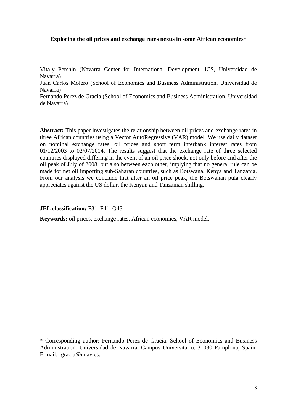# **Exploring the oil prices and exchange rates nexus in some African economies\***

Vitaly Pershin (Navarra Center for International Development, ICS, Universidad de Navarra)

Juan Carlos Molero (School of Economics and Business Administration, Universidad de Navarra)

Fernando Perez de Gracia (School of Economics and Business Administration, Universidad de Navarra)

**Abstract:** This paper investigates the relationship between oil prices and exchange rates in three African countries using a Vector AutoRegressive (VAR) model. We use daily dataset on nominal exchange rates, oil prices and short term interbank interest rates from 01/12/2003 to 02/07/2014. The results suggest that the exchange rate of three selected countries displayed differing in the event of an oil price shock, not only before and after the oil peak of July of 2008, but also between each other, implying that no general rule can be made for net oil importing sub-Saharan countries, such as Botswana, Kenya and Tanzania. From our analysis we conclude that after an oil price peak, the Botswanan pula clearly appreciates against the US dollar, the Kenyan and Tanzanian shilling.

**JEL classification:** F31, F41, Q43

**Keywords:** oil prices, exchange rates, African economies, VAR model.

\* Corresponding author: Fernando Perez de Gracia. School of Economics and Business Administration. Universidad de Navarra. Campus Universitario. 31080 Pamplona, Spain. E-mail: fgracia@unav.es.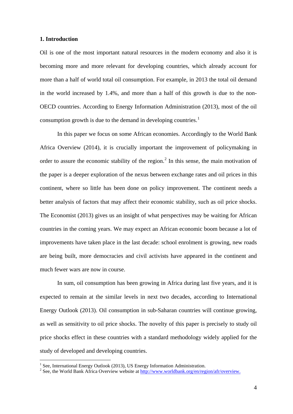## **1. Introduction**

Oil is one of the most important natural resources in the modern economy and also it is becoming more and more relevant for developing countries, which already account for more than a half of world total oil consumption. For example, in 2013 the total oil demand in the world increased by 1.4%, and more than a half of this growth is due to the non-OECD countries. According to Energy Information Administration (2013), most of the oil consumption growth is due to the demand in developing countries.<sup>[1](#page-3-0)</sup>

In this paper we focus on some African economies. Accordingly to the World Bank Africa Overview (2014), it is crucially important the improvement of policymaking in order to assure the economic stability of the region.<sup>[2](#page-3-1)</sup> In this sense, the main motivation of the paper is a deeper exploration of the nexus between exchange rates and oil prices in this continent, where so little has been done on policy improvement. The continent needs a better analysis of factors that may affect their economic stability, such as oil price shocks. The Economist (2013) gives us an insight of what perspectives may be waiting for African countries in the coming years. We may expect an African economic boom because a lot of improvements have taken place in the last decade: school enrolment is growing, new roads are being built, more democracies and civil activists have appeared in the continent and much fewer wars are now in course.

In sum, oil consumption has been growing in Africa during last five years, and it is expected to remain at the similar levels in next two decades, according to International Energy Outlook (2013). Oil consumption in sub-Saharan countries will continue growing, as well as sensitivity to oil price shocks. The novelty of this paper is precisely to study oil price shocks effect in these countries with a standard methodology widely applied for the study of developed and developing countries.

<span id="page-3-1"></span><span id="page-3-0"></span><sup>&</sup>lt;sup>1</sup> See, International Energy Outlook (2013), US Energy Information Administration.<br><sup>2</sup> See, the World Bank Africa Overview website at  $\frac{http://www.worldbank.org/en/region/aff/overview.}$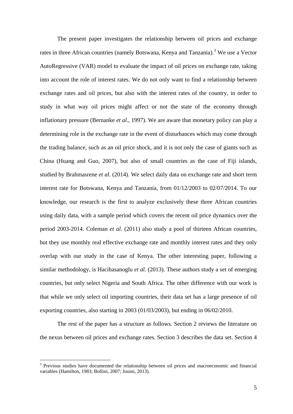The present paper investigates the relationship between oil prices and exchange rates in three African countries (namely Botswana, Kenya and Tanzania).<sup>[3](#page-4-0)</sup> We use a Vector AutoRegressive (VAR) model to evaluate the impact of oil prices on exchange rate, taking into account the role of interest rates. We do not only want to find a relationship between exchange rates and oil prices, but also with the interest rates of the country, in order to study in what way oil prices might affect or not the state of the economy through inflationary pressure (Bernanke *et al.,* 1997). We are aware that monetary policy can play a determining role in the exchange rate in the event of disturbances which may come through the trading balance, such as an oil price shock, and it is not only the case of giants such as China (Huang and Guo, 2007), but also of small countries as the case of Fiji islands, studied by Brahmasrene *et al.* (2014). We select daily data on exchange rate and short term interest rate for Botswana, Kenya and Tanzania, from 01/12/2003 to 02/07/2014. To our knowledge, our research is the first to analyze exclusively these three African countries using daily data, with a sample period which covers the recent oil price dynamics over the period 2003-2014. Coleman *et al.* (2011) also study a pool of thirteen African countries, but they use monthly real effective exchange rate and monthly interest rates and they only overlap with our study in the case of Kenya. The other interesting paper, following a similar methodology, is Hacihasanoglu *et al.* (2013). These authors study a set of emerging countries, but only select Nigeria and South Africa. The other difference with our work is that while we only select oil importing countries, their data set has a large presence of oil exporting countries, also starting in 2003 (01/03/2003), but ending in 06/02/2010.

The rest of the paper has a structure as follows. Section 2 reviews the literature on the nexus between oil prices and exchange rates. Section 3 describes the data set. Section 4

<span id="page-4-0"></span><sup>&</sup>lt;sup>3</sup> Previous studies have documented the relationship between oil prices and macroeconomic and financial variables (Hamilton, 1983; Bollini, 2007; Jouini, 2013).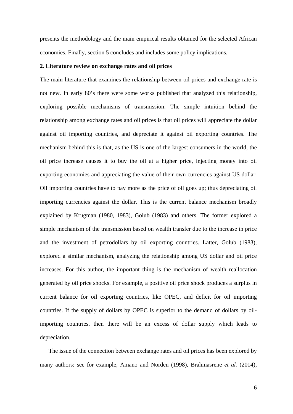presents the methodology and the main empirical results obtained for the selected African economies. Finally, section 5 concludes and includes some policy implications.

## **2. Literature review on exchange rates and oil prices**

The main literature that examines the relationship between oil prices and exchange rate is not new. In early 80's there were some works published that analyzed this relationship, exploring possible mechanisms of transmission. The simple intuition behind the relationship among exchange rates and oil prices is that oil prices will appreciate the dollar against oil importing countries, and depreciate it against oil exporting countries. The mechanism behind this is that, as the US is one of the largest consumers in the world, the oil price increase causes it to buy the oil at a higher price, injecting money into oil exporting economies and appreciating the value of their own currencies against US dollar. Oil importing countries have to pay more as the price of oil goes up; thus depreciating oil importing currencies against the dollar. This is the current balance mechanism broadly explained by Krugman (1980, 1983), Golub (1983) and others. The former explored a simple mechanism of the transmission based on wealth transfer due to the increase in price and the investment of petrodollars by oil exporting countries. Latter, Golub (1983), explored a similar mechanism, analyzing the relationship among US dollar and oil price increases. For this author, the important thing is the mechanism of wealth reallocation generated by oil price shocks. For example, a positive oil price shock produces a surplus in current balance for oil exporting countries, like OPEC, and deficit for oil importing countries. If the supply of dollars by OPEC is superior to the demand of dollars by oilimporting countries, then there will be an excess of dollar supply which leads to depreciation.

The issue of the connection between exchange rates and oil prices has been explored by many authors: see for example, Amano and Norden (1998), Brahmasrene *et al.* (2014),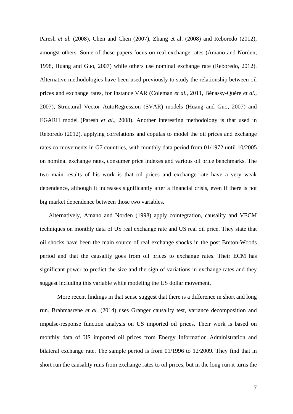Paresh *et al.* (2008), Chen and Chen (2007), Zhang et al. (2008) and Reboredo (2012), amongst others. Some of these papers focus on real exchange rates (Amano and Norden, 1998, Huang and Guo, 2007) while others use nominal exchange rate (Reboredo, 2012). Alternative methodologies have been used previously to study the relationship between oil prices and exchange rates, for instance VAR (Coleman *et al.,* 2011, Bénassy-Quéré *et al.,* 2007), Structural Vector AutoRegression (SVAR) models (Huang and Guo, 2007) and EGARH model (Paresh *et al.,* 2008). Another interesting methodology is that used in Reboredo (2012), applying correlations and copulas to model the oil prices and exchange rates co-movements in G7 countries, with monthly data period from 01/1972 until 10/2005 on nominal exchange rates, consumer price indexes and various oil price benchmarks. The two main results of his work is that oil prices and exchange rate have a very weak dependence, although it increases significantly after a financial crisis, even if there is not big market dependence between those two variables.

Alternatively, Amano and Norden (1998) apply cointegration, causality and VECM techniques on monthly data of US real exchange rate and US real oil price. They state that oil shocks have been the main source of real exchange shocks in the post Breton-Woods period and that the causality goes from oil prices to exchange rates. Their ECM has significant power to predict the size and the sign of variations in exchange rates and they suggest including this variable while modeling the US dollar movement.

More recent findings in that sense suggest that there is a difference in short and long run. Brahmasrene *et al.* (2014) uses Granger causality test, variance decomposition and impulse-response function analysis on US imported oil prices. Their work is based on monthly data of US imported oil prices from Energy Information Administration and bilateral exchange rate. The sample period is from 01/1996 to 12/2009. They find that in short run the causality runs from exchange rates to oil prices, but in the long run it turns the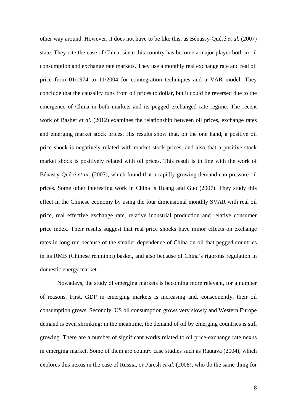other way around. However, it does not have to be like this, as Bénassy-Quéré *et al.* (2007) state. They cite the case of China, since this country has become a major player both in oil consumption and exchange rate markets. They use a monthly real exchange rate and real oil price from 01/1974 to 11/2004 for cointegration techniques and a VAR model. They conclude that the causality runs from oil prices to dollar, but it could be reversed due to the emergence of China in both markets and its pegged exchanged rate regime. The recent work of Basher *et al.* (2012) examines the relationship between oil prices, exchange rates and emerging market stock prices. His results show that, on the one hand, a positive oil price shock is negatively related with market stock prices, and also that a positive stock market shock is positively related with oil prices. This result is in line with the work of Bénassy-Quéré *et al.* (2007), which found that a rapidly growing demand can pressure oil prices. Some other interesting work in China is Huang and Guo (2007). They study this effect in the Chinese economy by using the four dimensional monthly SVAR with real oil price, real effective exchange rate, relative industrial production and relative consumer price index. Their results suggest that real price shocks have minor effects on exchange rates in long run because of the smaller dependence of China on oil that pegged countries in its RMB (Chinese renminbi) basket, and also because of China's rigorous regulation in domestic energy market

Nowadays, the study of emerging markets is becoming more relevant, for a number of reasons. First, GDP in emerging markets is increasing and, consequently, their oil consumption grows. Secondly, US oil consumption grows very slowly and Western Europe demand is even shrinking; in the meantime, the demand of oil by emerging countries is still growing. There are a number of significant works related to oil price-exchange rate nexus in emerging market. Some of them are country case studies such as Rautava (2004), which explores this nexus in the case of Russia, or Paresh *et al.* (2008), who do the same thing for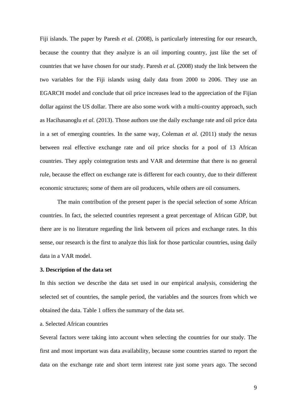Fiji islands. The paper by Paresh *et al.* (2008), is particularly interesting for our research, because the country that they analyze is an oil importing country, just like the set of countries that we have chosen for our study. Paresh *et al.* (2008) study the link between the two variables for the Fiji islands using daily data from 2000 to 2006. They use an EGARCH model and conclude that oil price increases lead to the appreciation of the Fijian dollar against the US dollar. There are also some work with a multi-country approach, such as Hacihasanoglu *et al.* (2013). Those authors use the daily exchange rate and oil price data in a set of emerging countries. In the same way, Coleman *et al.* (2011) study the nexus between real effective exchange rate and oil price shocks for a pool of 13 African countries. They apply cointegration tests and VAR and determine that there is no general rule, because the effect on exchange rate is different for each country, due to their different economic structures; some of them are oil producers, while others are oil consumers.

The main contribution of the present paper is the special selection of some African countries. In fact, the selected countries represent a great percentage of African GDP, but there are is no literature regarding the link between oil prices and exchange rates. In this sense, our research is the first to analyze this link for those particular countries, using daily data in a VAR model.

## **3. Description of the data set**

In this section we describe the data set used in our empirical analysis, considering the selected set of countries, the sample period, the variables and the sources from which we obtained the data. Table 1 offers the summary of the data set.

# a. Selected African countries

Several factors were taking into account when selecting the countries for our study. The first and most important was data availability, because some countries started to report the data on the exchange rate and short term interest rate just some years ago. The second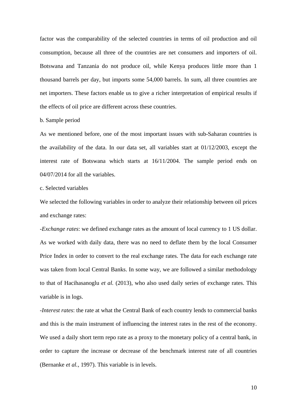factor was the comparability of the selected countries in terms of oil production and oil consumption, because all three of the countries are net consumers and importers of oil. Botswana and Tanzania do not produce oil, while Kenya produces little more than 1 thousand barrels per day, but imports some 54,000 barrels. In sum, all three countries are net importers. These factors enable us to give a richer interpretation of empirical results if the effects of oil price are different across these countries.

## b. Sample period

As we mentioned before, one of the most important issues with sub-Saharan countries is the availability of the data. In our data set, all variables start at 01/12/2003, except the interest rate of Botswana which starts at 16/11/2004. The sample period ends on 04/07/2014 for all the variables.

## c. Selected variables

We selected the following variables in order to analyze their relationship between oil prices and exchange rates:

-*Exchange rates*: we defined exchange rates as the amount of local currency to 1 US dollar. As we worked with daily data, there was no need to deflate them by the local Consumer Price Index in order to convert to the real exchange rates. The data for each exchange rate was taken from local Central Banks. In some way, we are followed a similar methodology to that of Hacihasanoglu *et al.* (2013), who also used daily series of exchange rates. This variable is in logs.

*-Interest rates*: the rate at what the Central Bank of each country lends to commercial banks and this is the main instrument of influencing the interest rates in the rest of the economy. We used a daily short term repo rate as a proxy to the monetary policy of a central bank, in order to capture the increase or decrease of the benchmark interest rate of all countries (Bernanke *et al.,* 1997). This variable is in levels.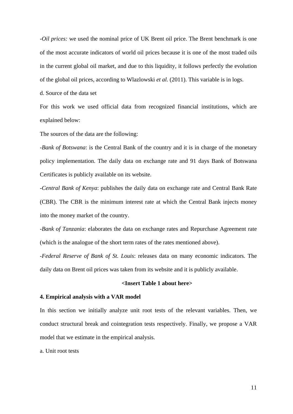*-Oil prices:* we used the nominal price of UK Brent oil price. The Brent benchmark is one of the most accurate indicators of world oil prices because it is one of the most traded oils in the current global oil market, and due to this liquidity, it follows perfectly the evolution of the global oil prices, according to Wlazlowski *et al.* (2011). This variable is in logs.

d. Source of the data set

For this work we used official data from recognized financial institutions, which are explained below:

The sources of the data are the following:

-*Bank of Botswana*: is the Central Bank of the country and it is in charge of the monetary policy implementation. The daily data on exchange rate and 91 days Bank of Botswana Certificates is publicly available on its website.

-*Central Bank of Kenya*: publishes the daily data on exchange rate and Central Bank Rate (CBR). The CBR is the minimum interest rate at which the Central Bank injects money into the money market of the country.

-*Bank of Tanzania*: elaborates the data on exchange rates and Repurchase Agreement rate (which is the analogue of the short term rates of the rates mentioned above).

-*Federal Reserve of Bank of St. Louis*: releases data on many economic indicators. The daily data on Brent oil prices was taken from its website and it is publicly available.

# **<Insert Table 1 about here>**

#### **4. Empirical analysis with a VAR model**

In this section we initially analyze unit root tests of the relevant variables. Then, we conduct structural break and cointegration tests respectively. Finally, we propose a VAR model that we estimate in the empirical analysis.

a. Unit root tests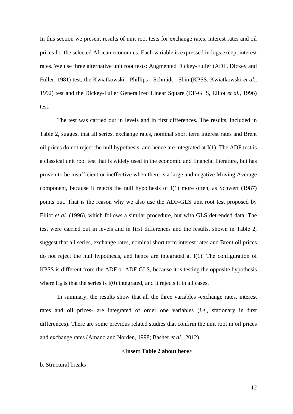In this section we present results of unit root tests for exchange rates, interest rates and oil prices for the selected African economies. Each variable is expressed in logs except interest rates. We use three alternative unit root tests: Augmented Dickey-Fuller (ADF, Dickey and Fuller, 1981) test, the Kwiatkowski - Phillips - Schmidt - Shin (KPSS, Kwiatkowski *et al*., 1992) test and the Dickey-Fuller Generalized Linear Square (DF-GLS, Elliot *et al.,* 1996) test.

The test was carried out in levels and in first differences. The results, included in Table 2, suggest that all series, exchange rates, nominal short term interest rates and Brent oil prices do not reject the null hypothesis, and hence are integrated at I(1). The ADF test is a classical unit root test that is widely used in the economic and financial literature, but has proven to be insufficient or ineffective when there is a large and negative Moving Average component, because it rejects the null hypothesis of I(1) more often, as Schwert (1987) points out. That is the reason why we also use the ADF-GLS unit root test proposed by Elliot *et al.* (1996), which follows a similar procedure, but with GLS detrended data. The test were carried out in levels and in first differences and the results, shown in Table 2, suggest that all series, exchange rates, nominal short term interest rates and Brent oil prices do not reject the null hypothesis, and hence are integrated at I(1). The configuration of KPSS is different from the ADF or ADF-GLS, because it is testing the opposite hypothesis where  $H_0$  is that the series is  $I(0)$  integrated, and it rejects it in all cases.

In summary, the results show that all the three variables -exchange rates, interest rates and oil prices- are integrated of order one variables (*i.e*., stationary in first differences). There are some previous related studies that confirm the unit root in oil prices and exchange rates (Amano and Norden, 1998; Basher *et al*., 2012).

## **<Insert Table 2 about here>**

# b. Structural breaks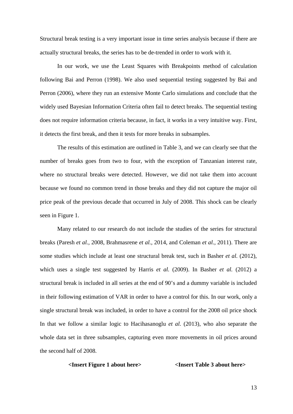Structural break testing is a very important issue in time series analysis because if there are actually structural breaks, the series has to be de-trended in order to work with it.

In our work, we use the Least Squares with Breakpoints method of calculation following Bai and Perron (1998). We also used sequential testing suggested by Bai and Perron (2006), where they run an extensive Monte Carlo simulations and conclude that the widely used Bayesian Information Criteria often fail to detect breaks. The sequential testing does not require information criteria because, in fact, it works in a very intuitive way. First, it detects the first break, and then it tests for more breaks in subsamples.

The results of this estimation are outlined in Table 3, and we can clearly see that the number of breaks goes from two to four, with the exception of Tanzanian interest rate, where no structural breaks were detected. However, we did not take them into account because we found no common trend in those breaks and they did not capture the major oil price peak of the previous decade that occurred in July of 2008. This shock can be clearly seen in Figure 1.

Many related to our research do not include the studies of the series for structural breaks (Paresh *et al.,* 2008, Brahmasrene *et al.,* 2014, and Coleman *et al.,* 2011). There are some studies which include at least one structural break test, such in Basher *et al.* (2012), which uses a single test suggested by Harris *et al.* (2009). In Basher *et al.* (2012) a structural break is included in all series at the end of 90's and a dummy variable is included in their following estimation of VAR in order to have a control for this. In our work, only a single structural break was included, in order to have a control for the 2008 oil price shock In that we follow a similar logic to Hacihasanoglu *et al.* (2013), who also separate the whole data set in three subsamples, capturing even more movements in oil prices around the second half of 2008.

# **<Insert Figure 1 about here> <Insert Table 3 about here>**

13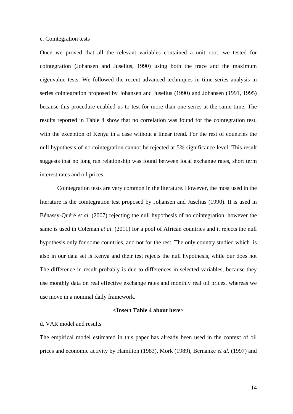# c. Cointegration tests

Once we proved that all the relevant variables contained a unit root, we tested for cointegration (Johansen and Juselius, 1990) using both the trace and the maximum eigenvalue tests. We followed the recent advanced techniques in time series analysis in series cointegration proposed by Johansen and Juselius (1990) and Johansen (1991, 1995) because this procedure enabled us to test for more than one series at the same time. The results reported in Table 4 show that no correlation was found for the cointegration test, with the exception of Kenya in a case without a linear trend. For the rest of countries the null hypothesis of no cointegration cannot be rejected at 5% significance level. This result suggests that no long run relationship was found between local exchange rates, short term interest rates and oil prices.

Cointegration tests are very common in the literature. However, the most used in the literature is the cointegration test proposed by Johansen and Juselius (1990). It is used in Bénassy-Quéré *et al*. (2007) rejecting the null hypothesis of no cointegration, however the same is used in Coleman *et al.* (2011) for a pool of African countries and it rejects the null hypothesis only for some countries, and not for the rest. The only country studied which is also in our data set is Kenya and their test rejects the null hypothesis, while our does not The difference in result probably is due to differences in selected variables, because they use monthly data on real effective exchange rates and monthly real oil prices, whereas we use move in a nominal daily framework.

# **<Insert Table 4 about here>**

# d. VAR model and results

The empirical model estimated in this paper has already been used in the context of oil prices and economic activity by Hamilton (1983), Mork (1989), Bernanke *et al.* (1997) and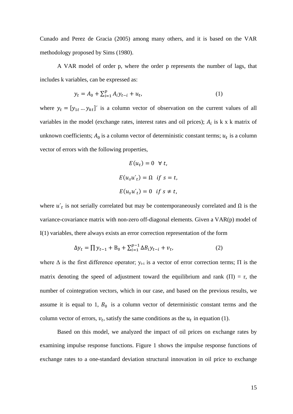Cunado and Perez de Gracia (2005) among many others, and it is based on the VAR methodology proposed by Sims (1980).

A VAR model of order p, where the order p represents the number of lags, that includes k variables, can be expressed as:

$$
y_t = A_0 + \sum_{i=1}^p A_i y_{t-i} + u_t,
$$
\n(1)

where  $y_t = [y_{1t} \dots y_{kt}]'$  is a column vector of observation on the current values of all variables in the model (exchange rates, interest rates and oil prices);  $A_i$  is k x k matrix of unknown coefficients;  $A_0$  is a column vector of deterministic constant terms;  $u_t$  is a column vector of errors with the following properties,

$$
E(u_t) = 0 \quad \forall \ t,
$$
  

$$
E(u_s u_t') = \Omega \quad \text{if } s = t,
$$
  

$$
E(u_s u_t') = 0 \quad \text{if } s \neq t,
$$

where  $u'$ <sub>t</sub> is not serially correlated but may be contemporaneously correlated and  $\Omega$  is the variance-covariance matrix with non-zero off-diagonal elements. Given a VAR(p) model of I(1) variables, there always exists an error correction representation of the form

$$
\Delta y_t = \prod y_{t-1} + B_0 + \sum_{i=1}^{p-1} \Delta B_i y_{t-i} + v_t,
$$
\n(2)

where  $\Delta$  is the first difference operator;  $y_{t-i}$  is a vector of error correction terms;  $\Pi$  is the matrix denoting the speed of adjustment toward the equilibrium and rank  $(\Pi) = r$ , the number of cointegration vectors, which in our case, and based on the previous results, we assume it is equal to 1,  $B_0$  is a column vector of deterministic constant terms and the column vector of errors,  $v_t$ , satisfy the same conditions as the  $u_t$  in equation (1).

Based on this model, we analyzed the impact of oil prices on exchange rates by examining impulse response functions. Figure 1 shows the impulse response functions of exchange rates to a one-standard deviation structural innovation in oil price to exchange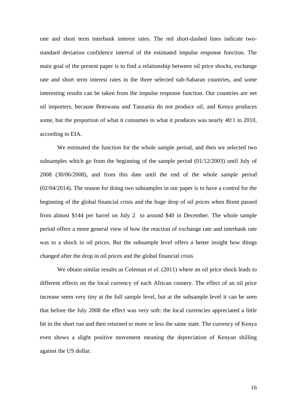rate and short term interbank interest rates. The red short-dashed lines indicate twostandard deviation confidence interval of the estimated impulse response function. The main goal of the present paper is to find a relationship between oil price shocks, exchange rate and short term interest rates in the three selected sub-Saharan countries, and some interesting results can be taken from the impulse response function. Our countries are net oil importers, because Botswana and Tanzania do not produce oil, and Kenya produces some, but the proportion of what it consumes to what it produces was nearly 40:1 in 2010, according to EIA.

We estimated the function for the whole sample period, and then we selected two subsamples which go from the beginning of the sample period (01/12/2003) until July of 2008 (30/06/2008), and from this date until the end of the whole sample period (02/04/2014). The reason for doing two subsamples in our paper is to have a control for the beginning of the global financial crisis and the huge drop of oil prices when Brent passed from almost \$144 per barrel on July 2 to around \$40 in December. The whole sample period offers a more general view of how the reaction of exchange rate and interbank rate was to a shock in oil prices. But the subsample level offers a better insight how things changed after the drop in oil prices and the global financial crisis

We obtain similar results as Coleman *et al.* (2011) where an oil price shock leads to different effects on the local currency of each African country. The effect of an oil price increase seem very tiny at the full sample level, but at the subsample level it can be seen that before the July 2008 the effect was very soft: the local currencies appreciated a little bit in the short run and then returned to more or less the same state. The currency of Kenya even shows a slight positive movement meaning the depreciation of Kenyan shilling against the US dollar.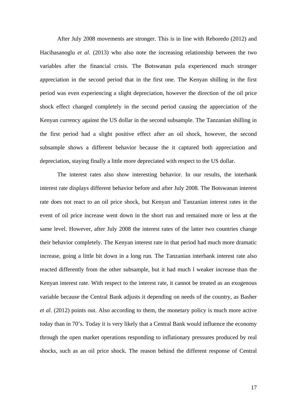After July 2008 movements are stronger. This is in line with Reboredo (2012) and Hacihasanoglu *et al.* (2013) who also note the increasing relationship between the two variables after the financial crisis. The Botswanan pula experienced much stronger appreciation in the second period that in the first one. The Kenyan shilling in the first period was even experiencing a slight depreciation, however the direction of the oil price shock effect changed completely in the second period causing the appreciation of the Kenyan currency against the US dollar in the second subsample. The Tanzanian shilling in the first period had a slight positive effect after an oil shock, however, the second subsample shows a different behavior because the it captured both appreciation and depreciation, staying finally a little more depreciated with respect to the US dollar.

The interest rates also show interesting behavior. In our results, the interbank interest rate displays different behavior before and after July 2008. The Botswanan interest rate does not react to an oil price shock, but Kenyan and Tanzanian interest rates in the event of oil price increase went down in the short run and remained more or less at the same level. However, after July 2008 the interest rates of the latter two countries change their behavior completely. The Kenyan interest rate in that period had much more dramatic increase, going a little bit down in a long run. The Tanzanian interbank interest rate also reacted differently from the other subsample, but it had much l weaker increase than the Kenyan interest rate. With respect to the interest rate, it cannot be treated as an exogenous variable because the Central Bank adjusts it depending on needs of the country, as Basher *et al.* (2012) points out. Also according to them, the monetary policy is much more active today than in 70's. Today it is very likely that a Central Bank would influence the economy through the open market operations responding to inflationary pressures produced by real shocks, such as an oil price shock. The reason behind the different response of Central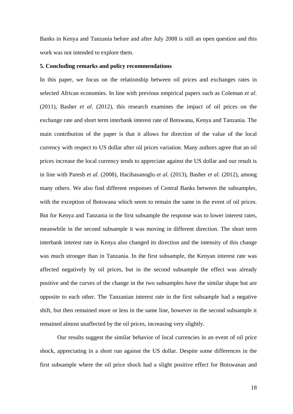Banks in Kenya and Tanzania before and after July 2008 is still an open question and this work was not intended to explore them.

## **5. Concluding remarks and policy recommendations**

In this paper, we focus on the relationship between oil prices and exchanges rates in selected African economies. In line with previous empirical papers such as Coleman *et al*. (2011), Basher *et al.* (2012), this research examines the impact of oil prices on the exchange rate and short term interbank interest rate of Botswana, Kenya and Tanzania. The main contribution of the paper is that it allows for direction of the value of the local currency with respect to US dollar after oil prices variation. Many authors agree that an oil prices increase the local currency tends to appreciate against the US dollar and our result is in line with Paresh *et al.* (2008), Hacihasanoglu *et al.* (2013), Basher *et al.* (2012), among many others. We also find different responses of Central Banks between the subsamples, with the exception of Botswana which seem to remain the same in the event of oil prices. But for Kenya and Tanzania in the first subsample the response was to lower interest rates, meanwhile in the second subsample it was moving in different direction. The short term interbank interest rate in Kenya also changed its direction and the intensity of this change was much stronger than in Tanzania. In the first subsample, the Kenyan interest rate was affected negatively by oil prices, but in the second subsample the effect was already positive and the curves of the change in the two subsamples have the similar shape but are opposite to each other. The Tanzanian interest rate in the first subsample had a negative shift, but then remained more or less in the same line, however in the second subsample it remained almost unaffected by the oil prices, increasing very slightly.

Our results suggest the similar behavior of local currencies in an event of oil price shock, appreciating in a short run against the US dollar. Despite some differences in the first subsample where the oil price shock had a slight positive effect for Botswanan and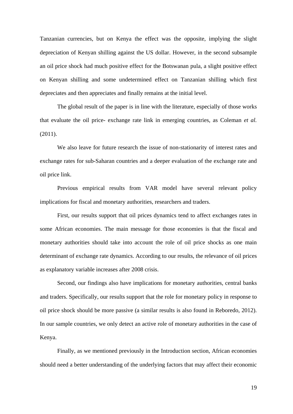Tanzanian currencies, but on Kenya the effect was the opposite, implying the slight depreciation of Kenyan shilling against the US dollar. However, in the second subsample an oil price shock had much positive effect for the Botswanan pula, a slight positive effect on Kenyan shilling and some undetermined effect on Tanzanian shilling which first depreciates and then appreciates and finally remains at the initial level.

The global result of the paper is in line with the literature, especially of those works that evaluate the oil price- exchange rate link in emerging countries, as Coleman *et al.* (2011).

We also leave for future research the issue of non-stationarity of interest rates and exchange rates for sub-Saharan countries and a deeper evaluation of the exchange rate and oil price link.

Previous empirical results from VAR model have several relevant policy implications for fiscal and monetary authorities, researchers and traders.

First, our results support that oil prices dynamics tend to affect exchanges rates in some African economies. The main message for those economies is that the fiscal and monetary authorities should take into account the role of oil price shocks as one main determinant of exchange rate dynamics. According to our results, the relevance of oil prices as explanatory variable increases after 2008 crisis.

Second, our findings also have implications for monetary authorities, central banks and traders. Specifically, our results support that the role for monetary policy in response to oil price shock should be more passive (a similar results is also found in Reboredo, 2012). In our sample countries, we only detect an active role of monetary authorities in the case of Kenya.

Finally, as we mentioned previously in the Introduction section, African economies should need a better understanding of the underlying factors that may affect their economic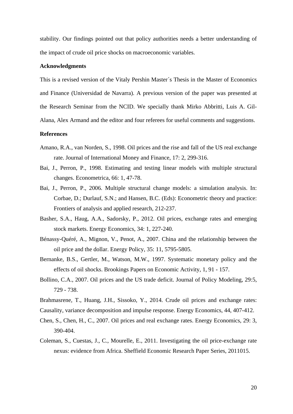stability. Our findings pointed out that policy authorities needs a better understanding of the impact of crude oil price shocks on macroeconomic variables.

## **Acknowledgments**

This is a revised version of the Vitaly Pershin Master´s Thesis in the Master of Economics and Finance (Universidad de Navarra). A previous version of the paper was presented at the Research Seminar from the NCID. We specially thank Mirko Abbritti, Luis A. Gil-Alana, Alex Armand and the editor and four referees for useful comments and suggestions.

## **References**

- Amano, R.A., van Norden, S., 1998. Oil prices and the rise and fall of the US real exchange rate. Journal of International Money and Finance, 17: 2, 299-316.
- Bai, J., Perron, P., 1998. Estimating and testing linear models with multiple structural changes. Econometrica, 66: 1, 47-78.
- Bai, J., Perron, P., 2006. Multiple structural change models: a simulation analysis. In: [Corbae,](http://www.amazon.com/s/ref=dp_byline_sr_book_1?ie=UTF8&field-author=Dean+Corbae&search-alias=books&text=Dean+Corbae&sort=relevancerank) D.; [Durlauf,](http://www.amazon.com/s/ref=dp_byline_sr_book_2?ie=UTF8&field-author=Steven+N.+Durlauf&search-alias=books&text=Steven+N.+Durlauf&sort=relevancerank) S.N.; and [Hansen,](http://www.amazon.com/s/ref=dp_byline_sr_book_3?ie=UTF8&field-author=Bruce+E.+Hansen&search-alias=books&text=Bruce+E.+Hansen&sort=relevancerank) B.C. (Eds): Econometric theory and practice: Frontiers of analysis and applied research, 212-237.
- Basher, S.A., Haug, A.A., Sadorsky, P., 2012. Oil prices, exchange rates and emerging stock markets. Energy Economics, 34: 1, 227-240.
- Bénassy-Quéré, A., Mignon, V., Penot, A., 2007. China and the relationship between the oil price and the dollar. Energy Policy, 35: 11, 5795-5805.
- Bernanke, B.S., Gertler, M., Watson, M.W., 1997. Systematic monetary policy and the effects of oil shocks. Brookings Papers on Economic Activity, 1, 91 - 157.
- Bollino, C.A., 2007. Oil prices and the US trade deficit. Journal of Policy Modeling, 29:5, 729 - 738.
- Brahmasrene, T., Huang, J.H., Sissoko, Y., 2014. Crude oil prices and exchange rates:
- Causality, variance decomposition and impulse response. Energy Economics, 44, 407-412.
- Chen, S., Chen, H., C., 2007. Oil prices and real exchange rates. Energy Economics, 29: 3, 390-404.
- Coleman, S., Cuestas, J., C., Mourelle, E., 2011. Investigating the oil price-exchange rate nexus: evidence from Africa. Sheffield Economic Research Paper Series, 2011015.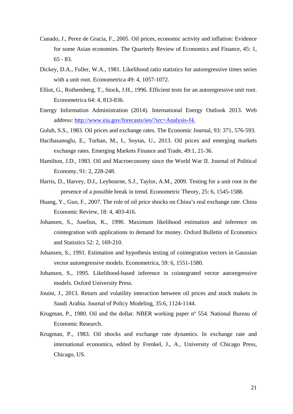- Cunado, J., Perez de Gracia, F., 2005. Oil prices, economic activity and inflation: Evidence for some Asian economies. The Quarterly Review of Economics and Finance, 45: 1, 65 - 83.
- Dickey, D.A., Fuller, W.A., 1981. Likelihood ratio statistics for autoregressive times series with a unit root. Econometrica 49: 4, 1057-1072.
- Elliot, G., Rothemberg, T., Stock, J.H., 1996. Efficient tests for an autoregressive unit root. Econometrica 64: 4, 813-836.
- Energy Information Administration (2014). International Energy Outlook 2013. Web address: [http://www.eia.gov/forecasts/ieo/?src=Analysis-f4.](http://www.eia.gov/forecasts/ieo/?src=Analysis-f4)
- Golub, S.S., 1983. Oil prices and exchange rates. The Economic Journal, 93: 371, 576-593.
- Hacihasanoglu, E., Turhan, M., I., Soytas, U., 2013. Oil prices and emerging markets exchange rates. Emerging Markets Finance and Trade, 49:1, 21-36.
- Hamilton, J.D., 1983. Oil and Macroeconomy since the World War II. Journal of Political Economy, 91: 2, 228-248.
- Harris, D., Harvey, D.I., Leybourne, S.J., Taylor, A.M., 2009. Testing for a unit root in the presence of a possible break in trend. Econometric Theory, 25: 6, 1545-1588.
- Huang, Y., Guo, F., 2007. The role of oil price shocks on China's real exchange rate. China Economic Review, 18: 4, 403-416.
- Johansen, S., Juselius, K., 1990. Maximum likelihood estimation and inference on cointegration with applications to demand for money. Oxford Bulletin of Economics and Statistics 52: 2, 169-210.
- Johansen, S., 1991. Estimation and hypothesis testing of cointegration vectors in Gaussian vector autoregressive models. Econometrica, 59: 6, 1551-1580.
- Johansen, S., 1995. Likelihood-based inference in cointegrated vector autoregressive models. [Oxford University Press.](https://elt.oup.com/cat/?cc=global)
- Jouini, J., 2013. Return and volatility interaction between oil prices and stock makets in Saudi Arabia. Journal of Policy Modeling, 35:6, 1124-1144.
- Krugman, P., 1980. Oil and the dollar. NBER working paper nº 554. National Bureau of Economic Research.
- Krugman, P., 1983. Oil shocks and exchange rate dynamics. In exchange rate and international economics, edited by Frenkel, J., A., University of Chicago Press, Chicago, US.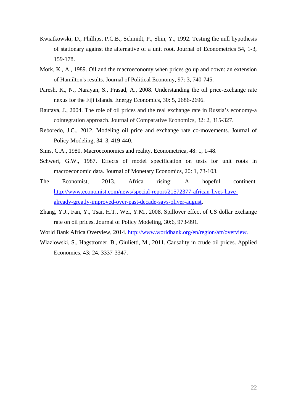- Kwiatkowski, D., Phillips, P.C.B., Schmidt, P., Shin, Y., 1992. Testing the null hypothesis of stationary against the alternative of a unit root. Journal of Econometrics 54, 1-3, 159-178.
- Mork, K., A., 1989. Oil and the macroeconomy when prices go up and down: an extension of Hamilton's results. Journal of Political Economy, 97: 3, 740-745.
- Paresh, K., N., Narayan, S., Prasad, A., 2008. Understanding the oil price-exchange rate nexus for the Fiji islands. Energy Economics, 30: 5, 2686-2696.
- Rautava, J., 2004. The role of oil prices and the real exchange rate in Russia's economy-a cointegration approach. Journal of Comparative Economics, 32: 2, 315-327.
- Reboredo, J.C., 2012. Modeling oil price and exchange rate co-movements. Journal of Policy Modeling, 34: 3, 419-440.
- Sims, C.A., 1980. Macroeconomics and reality. Econometrica, 48: 1, 1-48.
- Schwert, G.W., 1987. Effects of model specification on tests for unit roots in macroeconomic data. Journal of Monetary Economics, 20: 1, 73-103.
- The Economist, 2013. Africa rising: A hopeful continent. [http://www.economist.com/news/special-report/21572377-african-lives-have](http://www.economist.com/news/special-report/21572377-african-lives-have-already-greatly-improved-over-past-decade-says-oliver-august)[already-greatly-improved-over-past-decade-says-oliver-august.](http://www.economist.com/news/special-report/21572377-african-lives-have-already-greatly-improved-over-past-decade-says-oliver-august)
- Zhang, Y.J., Fan, Y., Tsai, H.T., Wei, Y.M., 2008. Spillover effect of US dollar exchange rate on oil prices. Journal of Policy Modeling, 30:6, 973-991.
- World Bank Africa Overview, 2014. [http://www.worldbank.org/en/region/afr/overview.](http://www.worldbank.org/en/region/afr/overview)
- Wlazlowski, S., Hagströmer, B., Giulietti, M., 2011. Causality in crude oil prices. Applied Economics, 43: 24, 3337-3347.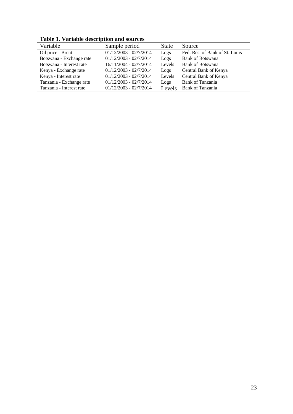**Table 1. Variable description and sources**

| <b>Table 1. Variable description and sources</b> |                          |              |                                |  |  |  |
|--------------------------------------------------|--------------------------|--------------|--------------------------------|--|--|--|
| Variable                                         | Sample period            | <b>State</b> | Source                         |  |  |  |
| Oil price - Brent                                | $01/12/2003 - 02/7/2014$ | Logs         | Fed. Res. of Bank of St. Louis |  |  |  |
| Botswana - Exchange rate                         | $01/12/2003 - 02/7/2014$ | Logs         | Bank of Botswana               |  |  |  |
| Botswana - Interest rate                         | 16/11/2004 - 02/7/2014   | Levels       | <b>Bank of Botswana</b>        |  |  |  |
| Kenya - Exchange rate                            | $01/12/2003 - 02/7/2014$ | Logs         | Central Bank of Kenya          |  |  |  |
| Kenya - Interest rate                            | $01/12/2003 - 02/7/2014$ | Levels       | Central Bank of Kenya          |  |  |  |
| Tanzania - Exchange rate                         | $01/12/2003 - 02/7/2014$ | Logs         | Bank of Tanzania               |  |  |  |
| Tanzania - Interest rate                         | $01/12/2003 - 02/7/2014$ | Levels       | Bank of Tanzania               |  |  |  |
|                                                  |                          |              |                                |  |  |  |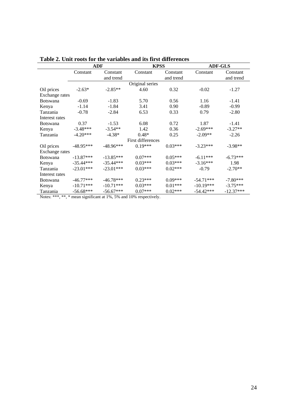|                 | ADF         |             | <b>KPSS</b>       |           | <b>ADF-GLS</b> |             |  |
|-----------------|-------------|-------------|-------------------|-----------|----------------|-------------|--|
|                 | Constant    | Constant    | Constant          | Constant  | Constant       | Constant    |  |
|                 |             | and trend   |                   | and trend |                | and trend   |  |
|                 |             |             | Original series   |           |                |             |  |
| Oil prices      | $-2.63*$    | $-2.85**$   | 4.60              | 0.32      | $-0.02$        | $-1.27$     |  |
| Exchange rates  |             |             |                   |           |                |             |  |
| <b>Botswana</b> | $-0.69$     | $-1.83$     | 5.70              | 0.56      | 1.16           | $-1.41$     |  |
| Kenya           | $-1.14$     | $-1.84$     | 3.41              | 0.90      | $-0.89$        | $-0.99$     |  |
| Tanzania        | $-0.78$     | $-2.84$     | 6.53              | 0.33      | 0.79           | $-2.80$     |  |
| Interest rates  |             |             |                   |           |                |             |  |
| <b>Botswana</b> | 0.37        | $-1.53$     | 6.08              | 0.72      | 1.87           | $-1.41$     |  |
| Kenya           | $-3.48***$  | $-3.54**$   | 1.42              | 0.36      | $-2.69***$     | $-3.27**$   |  |
| Tanzania        | $-4.20***$  | $-4.38*$    | $0.48*$           | 0.25      | $-2.09**$      | $-2.26$     |  |
|                 |             |             | First differences |           |                |             |  |
| Oil prices      | $-48.95***$ | $-48.96***$ | $0.19***$         | $0.03***$ | $-3.23***$     | $-3.98**$   |  |
| Exchange rates  |             |             |                   |           |                |             |  |
| <b>Botswana</b> | $-13.87***$ | $-13.85***$ | $0.07***$         | $0.05***$ | $-6.11***$     | $-6.73***$  |  |
| Kenya           | $-35.44***$ | $-35.44***$ | $0.03***$         | $0.03***$ | $-3.16***$     | 1.98        |  |
| Tanzania        | $-23.01***$ | $-23.01***$ | $0.03***$         | $0.02***$ | $-0.79$        | $-2.70**$   |  |
| Interest rates  |             |             |                   |           |                |             |  |
| <b>Botswana</b> | $-46.77***$ | $-46.78***$ | $0.23***$         | $0.09***$ | $-54.71***$    | $-7.80***$  |  |
| Kenya           | $-10.71***$ | $-10.71***$ | $0.03***$         | $0.01***$ | $-10.19***$    | $-3.75***$  |  |
| Tanzania        | $-56.68***$ | $-56.67***$ | $0.07***$         | $0.02***$ | $-54.42***$    | $-12.37***$ |  |

|  | Table 2. Unit roots for the variables and its first differences |
|--|-----------------------------------------------------------------|
|--|-----------------------------------------------------------------|

Notes: \*\*\*, \*\*, \* mean significant at 1%, 5% and 10% respectively.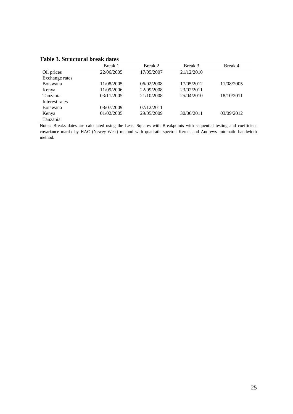|  | <b>Table 3. Structural break dates</b> |  |  |
|--|----------------------------------------|--|--|
|--|----------------------------------------|--|--|

| Table 5. Structural break dates |            |            |            |            |  |  |
|---------------------------------|------------|------------|------------|------------|--|--|
|                                 | Break 1    | Break 2    | Break 3    | Break 4    |  |  |
| Oil prices                      | 22/06/2005 | 17/05/2007 | 21/12/2010 |            |  |  |
| Exchange rates                  |            |            |            |            |  |  |
| <b>Botswana</b>                 | 11/08/2005 | 06/02/2008 | 17/05/2012 | 11/08/2005 |  |  |
| Kenya                           | 11/09/2006 | 22/09/2008 | 23/02/2011 |            |  |  |
| Tanzania                        | 03/11/2005 | 21/10/2008 | 25/04/2010 | 18/10/2011 |  |  |
| Interest rates                  |            |            |            |            |  |  |
| <b>Botswana</b>                 | 08/07/2009 | 07/12/2011 |            |            |  |  |
| Kenya                           | 01/02/2005 | 29/05/2009 | 30/06/2011 | 03/09/2012 |  |  |
| Tanzania                        |            |            |            |            |  |  |

Notes: Breaks dates are calculated using the Least Squares with Breakpoints with sequential testing and coefficient covariance matrix by HAC (Newey-West) method with quadratic-spectral Kernel and Andrews automatic bandwidth method.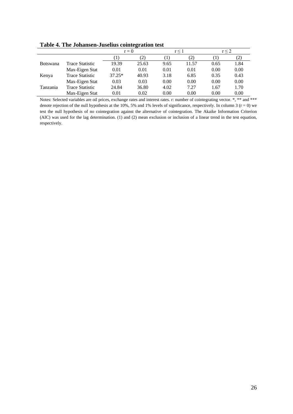**Table 4. The Johansen-Juselius cointegration test**

|                 |                        | $r = 0$  |                  | r < 1 |       | r < 2 |      |
|-----------------|------------------------|----------|------------------|-------|-------|-------|------|
|                 |                        |          | $\mathcal{L}(2)$ |       | (2)   |       |      |
| <b>Botswana</b> | Trace Statistic        | 19.39    | 25.63            | 9.65  | 11.57 | 0.65  | 1.84 |
|                 | Max-Eigen Stat         | 0.01     | 0.01             | 0.01  | 0.01  | 0.00  | 0.00 |
| Kenya           | <b>Trace Statistic</b> | $37.25*$ | 40.93            | 3.18  | 6.85  | 0.35  | 0.43 |
|                 | Max-Eigen Stat         | 0.03     | 0.03             | 0.00  | 0.00  | 0.00  | 0.00 |
| Tanzania        | <b>Trace Statistic</b> | 24.84    | 36.80            | 4.02  | 7.27  | 1.67  | 1.70 |
|                 | Max-Eigen Stat         | 0.01     | 0.02             | 0.00  | 0.00  | 0.00  | 0.00 |

Notes: Selected variables are oil prices, exchange rates and interest rates. r: number of cointegrating vector. \*, \*\* and \*\*\* denote rejection of the null hypothesis at the 10%, 5% and 1% levels of significance, respectively. In column 3 ( $r = 0$ ) we test the null hypothesis of no cointegration against the alternative of cointegration. The Akaike Information Criterion (AIC) was used for the lag determination. (1) and (2) mean exclusion or inclusion of a linear trend in the test equation, respectively.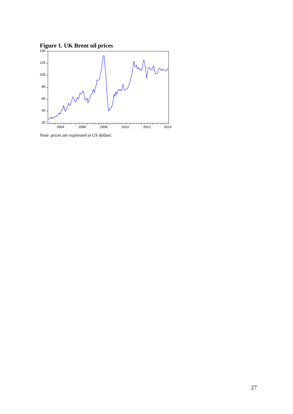



Note: prices are expressed in US dollars.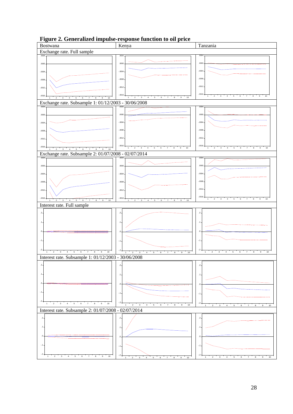

**Figure 2. Generalized impulse-response function to oil price**